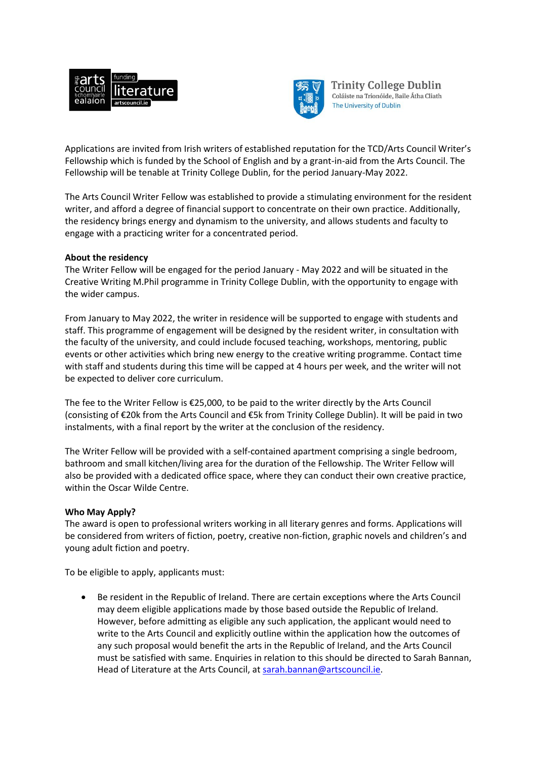



Trinity College Dublin Coláiste na Tríonóide, Baile Átha Cliath The University of Dublin

Applications are invited from Irish writers of established reputation for the TCD/Arts Council Writer's Fellowship which is funded by the School of English and by a grant-in-aid from the Arts Council. The Fellowship will be tenable at Trinity College Dublin, for the period January-May 2022.

The Arts Council Writer Fellow was established to provide a stimulating environment for the resident writer, and afford a degree of financial support to concentrate on their own practice. Additionally, the residency brings energy and dynamism to the university, and allows students and faculty to engage with a practicing writer for a concentrated period.

## **About the residency**

The Writer Fellow will be engaged for the period January - May 2022 and will be situated in the Creative Writing M.Phil programme in Trinity College Dublin, with the opportunity to engage with the wider campus.

From January to May 2022, the writer in residence will be supported to engage with students and staff. This programme of engagement will be designed by the resident writer, in consultation with the faculty of the university, and could include focused teaching, workshops, mentoring, public events or other activities which bring new energy to the creative writing programme. Contact time with staff and students during this time will be capped at 4 hours per week, and the writer will not be expected to deliver core curriculum.

The fee to the Writer Fellow is €25,000, to be paid to the writer directly by the Arts Council (consisting of €20k from the Arts Council and €5k from Trinity College Dublin). It will be paid in two instalments, with a final report by the writer at the conclusion of the residency.

The Writer Fellow will be provided with a self-contained apartment comprising a single bedroom, bathroom and small kitchen/living area for the duration of the Fellowship. The Writer Fellow will also be provided with a dedicated office space, where they can conduct their own creative practice, within the Oscar Wilde Centre.

## **Who May Apply?**

The award is open to professional writers working in all literary genres and forms. Applications will be considered from writers of fiction, poetry, creative non-fiction, graphic novels and children's and young adult fiction and poetry.

To be eligible to apply, applicants must:

 Be resident in the Republic of Ireland. There are certain exceptions where the Arts Council may deem eligible applications made by those based outside the Republic of Ireland. However, before admitting as eligible any such application, the applicant would need to write to the Arts Council and explicitly outline within the application how the outcomes of any such proposal would benefit the arts in the Republic of Ireland, and the Arts Council must be satisfied with same. Enquiries in relation to this should be directed to Sarah Bannan, Head of Literature at the Arts Council, at [sarah.bannan@artscouncil.ie.](mailto:sarah.bannan@artscouncil.ie)